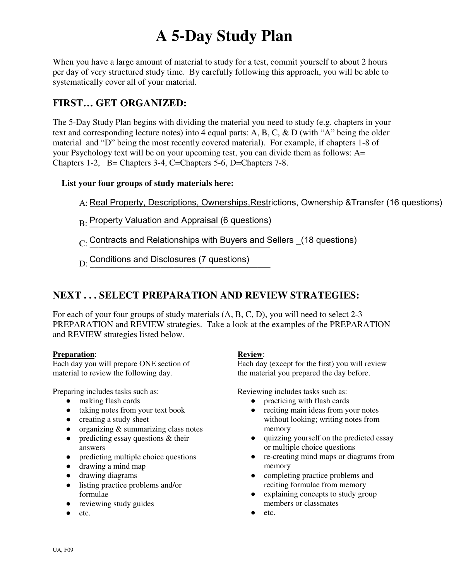# **A 5-Day Study Plan**

When you have a large amount of material to study for a test, commit yourself to about 2 hours per day of very structured study time. By carefully following this approach, you will be able to systematically cover all of your material.

## **FIRST… GET ORGANIZED:**

The 5-Day Study Plan begins with dividing the material you need to study (e.g. chapters in your text and corresponding lecture notes) into 4 equal parts: A, B, C, & D (with "A" being the older material and "D" being the most recently covered material). For example, if chapters 1-8 of your Psychology text will be on your upcoming test, you can divide them as follows: A= Chapters 1-2, B= Chapters 3-4, C=Chapters 5-6, D=Chapters 7-8.

### **List your four groups of study materials here:**

- A: <u>Real Property, Descriptions, Ownerships,Restr</u>ictions, Ownership &Transfer (16 questions)
- B: Property Valuation and Appraisal (6 questions)
- $_{\rm C.}$  Contracts and Relationships with Buyers and Sellers  $_{\_\_{}(18}$  questions)
- D: Conditions and Disclosures (7 questions)<br>————————————————————

## **NEXT . . . SELECT PREPARATION AND REVIEW STRATEGIES:**

For each of your four groups of study materials (A, B, C, D), you will need to select 2-3 PREPARATION and REVIEW strategies. Take a look at the examples of the PREPARATION and REVIEW strategies listed below.

#### **Preparation**:

Each day you will prepare ONE section of material to review the following day.

Preparing includes tasks such as:

- making flash cards
- taking notes from your text book
- creating a study sheet
- organizing  $&$  summarizing class notes
- predicting essay questions & their answers
- predicting multiple choice questions
- drawing a mind map
- drawing diagrams
- listing practice problems and/or formulae
- reviewing study guides
- $\bullet$  etc.

#### **Review**:

Each day (except for the first) you will review the material you prepared the day before.

Reviewing includes tasks such as:

- practicing with flash cards
- reciting main ideas from your notes without looking; writing notes from memory
- quizzing yourself on the predicted essay or multiple choice questions
- re-creating mind maps or diagrams from memory
- completing practice problems and reciting formulae from memory
- explaining concepts to study group members or classmates
- etc.